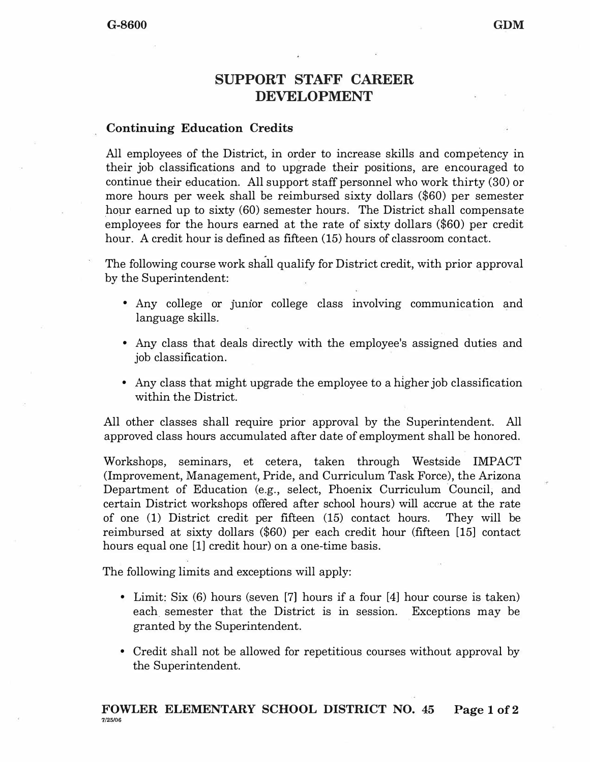## **SUPPORT STAFF CAREER DEVELOPMENT**

## **Continuing Education Credits**

All employees of the District, in order to increase skills and competency in their job classifications and to upgrade their positions, are encouraged to continue their education. All support staff personnel who work thirty (30) or more hours per week shall be reimbursed sixty dollars (\$60) per semester hour earned up to sixty (60) semester hours. The District shall compensate employees for the hours earned at the rate of sixty dollars (\$60) per credit hour. A credit hour is defined as fifteen (15) hours of classroom contact.

The following course work shall qualify for District credit, with prior approval by the Superintendent:

- Any college or Jumor college class involving communication and language skills.
- Any class that deals directly with the employee's assigned duties and job classification.
- Any class that might upgrade the employee to a higher job classification within the District.

All other classes shall require prior approval by the Superintendent. All approved class hours accumulated after date of employment shall be honored.

Workshops, seminars, et cetera, taken through Westside IMPACT (Improvement, Management, Pride, and Curriculum Task Force), the Arizona Department of Education (e.g., select, Phoenix Curriculum Council, and certain District workshops offered after school hours) will accrue at the rate of one (1) District credit per fifteen (15) contact hours. They will be reimbursed at sixty dollars (\$60) per each credit hour (fifteen [15) contact hours equal one [1] credit hour) on a one-time basis.

The following limits and exceptions will apply:

- Limit: Six (6) hours (seven [7] hours if a four [4] hour course is taken) each. semester that the District is in session. Exceptions may be granted by the Superintendent.
- Credit shall not be allowed for repetitious courses without approval by the Superintendent.